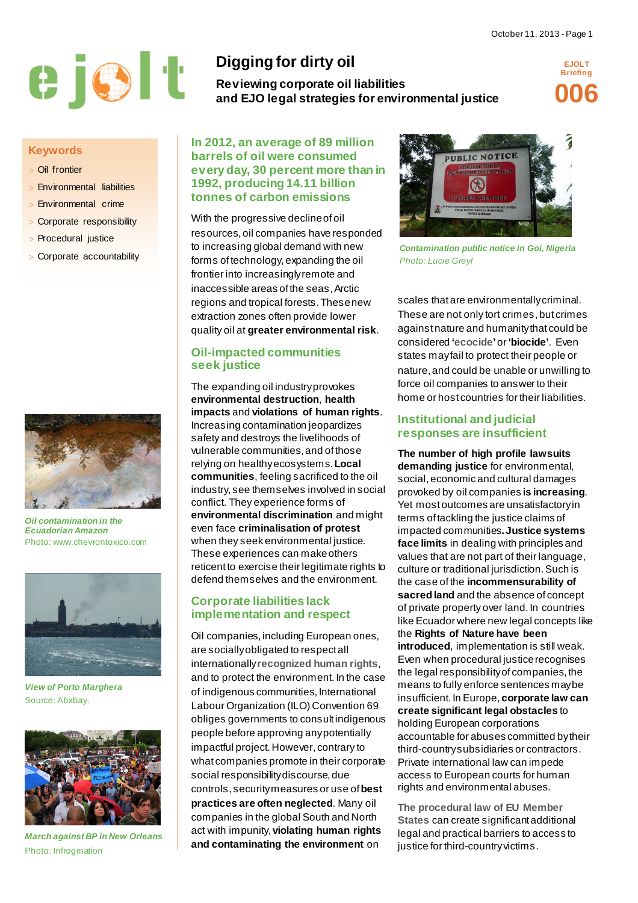

#### **Keywords**

- > Oil frontier
- > Environmental liabilities
- Environmental crime
- > Corporate responsibility
- > Procedural justice
- > Corporate accountability



*Oil contamination in the Ecuadorian Amazon* Photo: www.chevrontoxico.com



*View of Porto Marghera* Source: Abxbay.



*March against BP in New Orleans* Photo: Infrogmation

# **Digging for dirty oil**

**Reviewing corporate oil liabilities and EJO legal strategies for environmental justice**

**EJOLT Briefing 006**

**In 2012, an average of 89 million barrels of oil were consumed every day, 30 percent more than in 1992, producing 14.11 billion tonnes of carbon emissions**

With the progressive decline of oil

resources, oil companies have responded to increasing global demand with new forms of technology, expanding the oil frontier into increasingly remote and inaccessible areas of the seas, Arctic regions and tropical forests. These new extraction zones often provide lower quality oil at **greater environmental risk**.

# **Oil-impacted communities seek justice**

The expanding oil industry provokes **environmental destruction**, **health impacts** and **violations of human rights**. Increasing contamination jeopardizes safety and destroys the livelihoods of vulnerable communities, and of those relying on healthy ecosystems. **Local communities**, feeling sacrificed to the oil industry, see themselves involved in social conflict. They experience forms of **environmental discrimination** and might even face **criminalisation of protest** when they seek environmental justice. These experiences can make others reticent to exercise their legitimate rights to defend themselves and the environment.

# **Corporate liabilities lack implementation and respect**

Oil companies, including European ones, are socially obligated to respect all internationally **[recognized human rights](http://www.ohchr.org/Documents/Publications/GuidingPrinciplesBusinessHR_EN.pdf)**, and to protect the environment. In the case of indigenous communities, International Labour Organization (ILO) Convention 69 obliges governments to consult indigenous people before approving any potentially impactful project. However, contrary to what companies promote in their corporate social responsibility discourse, due controls, security measures or use of **best practices are often neglected**. Many oil companies in the global South and North act with impunity, **violating human rights and contaminating the environment** on



*Contamination public notice in Goi, Nigeria Photo: Lucie Greyl*

scales that are environmentally criminal. These are not only tort crimes, but crimes against nature and humanity that could be considered **['ecocide'](http://www.endecocide.org/)** or **'biocide'**. Even states may fail to protect their people or nature, and could be unable or unwilling to force oil companies to answer to their home or host countries for their liabilities.

# **Institutional and judicial responses are insufficient**

**The number of high profile lawsuits demanding justice** for environmental, social, economic and cultural damages provoked by oil companies **is increasing**. Yet most outcomes are unsatisfactory in terms of tackling the justice claims of impacted communities**. Justice systems face limits** in dealing with principles and values that are not part of their language, culture or traditional jurisdiction. Such is the case of the **incommensurability of sacred land** and the absence of concept of private property over land. In countries like Ecuador where new legal concepts like the **Rights of Nature have been introduced**, implementation is still weak. Even when procedural justice recognises the legal responsibility of companies, the means to fully enforce sentences may be insufficient. In Europe, **corporate law can create significant legal obstacles** to holding European corporations accountable for abuses committed by their third-country subsidiaries or contractors. Private international law can impede access to European courts for human rights and environmental abuses.

**[The procedural law of EU Member](http://ec.europa.eu/enterprise/policies/sustainable-business/files/business-human-rights/101025_ec_study_final_report_en.pdf)  [States](http://ec.europa.eu/enterprise/policies/sustainable-business/files/business-human-rights/101025_ec_study_final_report_en.pdf)** can create significant additional legal and practical barriers to access to justice for third-country victims.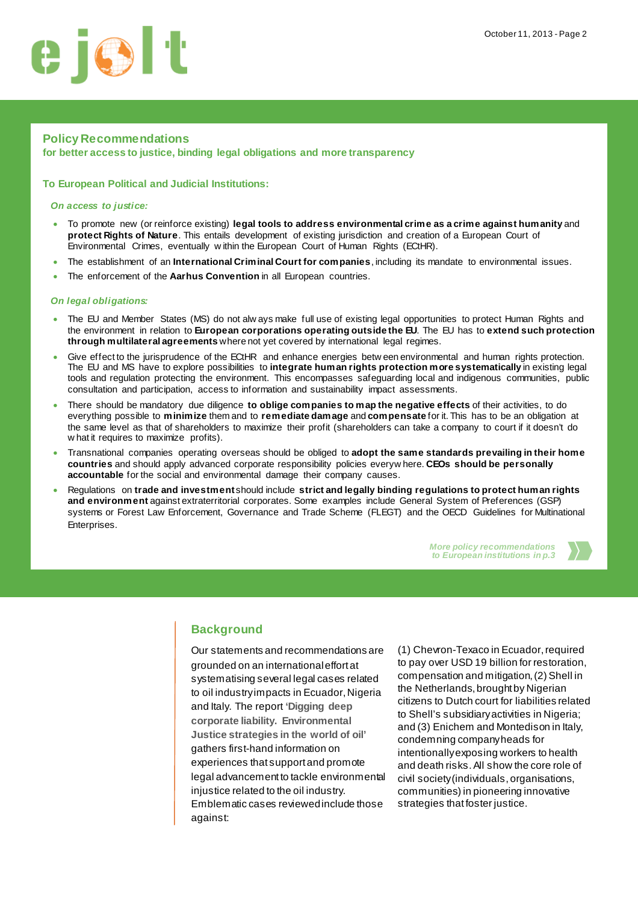

# **Policy Recommendations**

**for better access to justice, binding legal obligations and more transparency**

### **To European Political and Judicial Institutions:**

#### *On access to justice:*

- To promote new (or reinforce existing) **legal tools to address environmental crime as a crime against humanity** and **protect Rights of Nature**. This entails development of existing jurisdiction and creation of a European Court of Environmental Crimes, eventually w ithin the European Court of Human Rights (ECtHR).
- The establishment of an **International Criminal Court for companies**, including its mandate to environmental issues.
- The enforcement of the **Aarhus Convention** in all European countries.

#### *On legal obligations:*

- The EU and Member States (MS) do not alw ays make full use of existing legal opportunities to protect Human Rights and the environment in relation to **European corporations operating outside the EU**. The EU has to **extend such protection through multilateral agreements** where not yet covered by international legal regimes.
- Give effect to the jurisprudence of the ECtHR and enhance energies betw een environmental and human rights protection. The EU and MS have to explore possibilities to **integrate human rights protection more systematically** in existing legal tools and regulation protecting the environment. This encompasses safeguarding local and indigenous communities, public consultation and participation, access to information and sustainability impact assessments.
- There should be mandatory due diligence **to oblige companies to map the negative effects** of their activities, to do everything possible to **minimize** them and to **remediate damage** and **compensate** for it. This has to be an obligation at the same level as that of shareholders to maximize their profit (shareholders can take a company to court if it doesn't do w hat it requires to maximize profits).
- Transnational companies operating overseas should be obliged to **adopt the same standards prevailing in their home countries** and should apply advanced corporate responsibility policies everyw here. **CEOs should be personally accountable** for the social and environmental damage their company causes.
- Regulations on **trade and investment** should include **strict and legally binding regulations to protect human rights and environment** against extraterritorial corporates. Some examples include General System of Preferences (GSP) systems or Forest Law Enforcement, Governance and Trade Scheme (FLEGT) and the OECD Guidelines for Multinational Enterprises.

*More policy recommendations to European institutions in p.3* 



# **Background**

Our statements and recommendations are grounded on an international effort at systematising several legal cases related to oil industry impacts in Ecuador, Nigeria and Italy. The report **['Digging deep](http://www.ejolt.org/wordpress/wp-content/uploads/2013/10/131007_EJOLT09-final-Low-resolution.pdf) [corporate liability. Environmental](http://www.ejolt.org/wordpress/wp-content/uploads/2013/10/131007_EJOLT09-final-Low-resolution.pdf)  [Justice strategies in the world of oil'](http://www.ejolt.org/wordpress/wp-content/uploads/2013/10/131007_EJOLT09-final-Low-resolution.pdf)** gathers first-hand information on experiences that support and promote legal advancement to tackle environmental injustice related to the oil industry. Emblematic cases reviewedinclude those against:

(1) Chevron-Texaco in Ecuador, required to pay over USD 19 billion for restoration, compensation and mitigation, (2) Shell in the Netherlands, brought by Nigerian citizens to Dutch court for liabilities related to Shell's subsidiaryactivities in Nigeria; and (3) Enichem and Montedison in Italy, condemning company heads for intentionally exposing workers to health and death risks. All show the core role of civil society (individuals, organisations, communities) in pioneering innovative strategies that foster justice.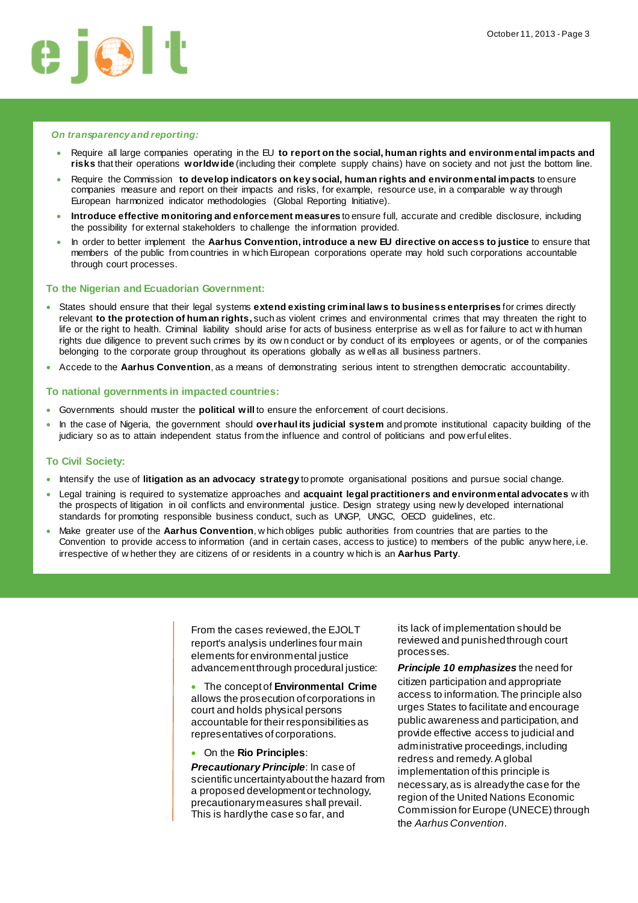

#### *[On transparency and reporting](http://www.corporatejustice.org/IMG/pdf/position_paper_nfr_final.pdf):*

- Require all large companies operating in the EU **to report on the social, human rights and environmental impacts and risks** that their operations **worldwide** (including their complete supply chains) have on society and not just the bottom line.
- Require the Commission **to develop indicators on key social, human rights and environmental impacts** to ensure companies measure and report on their impacts and risks, for example, resource use, in a comparable w ay through European harmonized indicator methodologies (Global Reporting Initiative).
- **Introduce effective monitoring and enforcement measures** to ensure full, accurate and credible disclosure, including the possibility for external stakeholders to challenge the information provided.
- In order to better implement the **Aarhus Convention, introduce a new EU directive on access to justice** to ensure that members of the public from countries in w hich European corporations operate may hold such corporations accountable through court processes.

#### **To the Nigerian and Ecuadorian Government:**

- States should ensure that their legal systems **extend existing criminal laws to business enterprises** for crimes directly relevant **to the protection of human rights,** such as violent crimes and environmental crimes that may threaten the right to life or the right to health. Criminal liability should arise for acts of business enterprise as w ell as for failure to act w ith human rights due diligence to prevent such crimes by its ow n conduct or by conduct of its employees or agents, or of the companies belonging to the corporate group throughout its operations globally as w ell as all business partners.
- Accede to the **Aarhus Convention**, as a means of demonstrating serious intent to strengthen democratic accountability.

#### **To national governments in impacted countries:**

- Governments should muster the **political will** to ensure the enforcement of court decisions.
- In the case of Nigeria, the government should **overhaul its judicial system** and promote institutional capacity building of the judiciary so as to attain independent status from the influence and control of politicians and pow erful elites.

#### **To Civil Society:**

- Intensify the use of **litigation as an advocacy strategy** to promote organisational positions and pursue social change.
- Legal training is required to systematize approaches and **acquaint legal practitioners and environmental advocates** w ith the prospects of litigation in oil conflicts and environmental justice. Design strategy using new ly developed international standards for promoting responsible business conduct, such as UNGP, UNGC, OECD guidelines, etc.
- Make greater use of the **Aarhus Convention**, w hich obliges public authorities from countries that are parties to the Convention to provide access to information (and in certain cases, access to justice) to members of the public anyw here, i.e. irrespective of w hether they are citizens of or residents in a country w hich is an **Aarhus Party**.

From the cases reviewed, the EJOLT report's analysis underlines four main elements for environmental justice advancement through procedural justice:

• The concept of **Environmental Crime** allows the prosecution of corporations in court and holds physical persons accountable for their responsibilities as representatives of corporations.

• On the **Rio Principles**:

*Precautionary Principle*: In case of scientific uncertainty about the hazard from a proposed development or technology, precautionary measures shall prevail. This is hardly the case so far, and

its lack of implementation should be reviewed and punishedthrough court processes.

*Principle 10 emphasizes* the need for citizen participation and appropriate access to information. The principle also urges States to facilitate and encourage public awareness and participation, and provide effective access to judicial and administrative proceedings, including redress and remedy.A global implementation of this principle is necessary, as is already the case for the region of the United Nations Economic Commission for Europe (UNECE) through the *[Aarhus Convention](http://ec.europa.eu/environment/aarhus/)*.